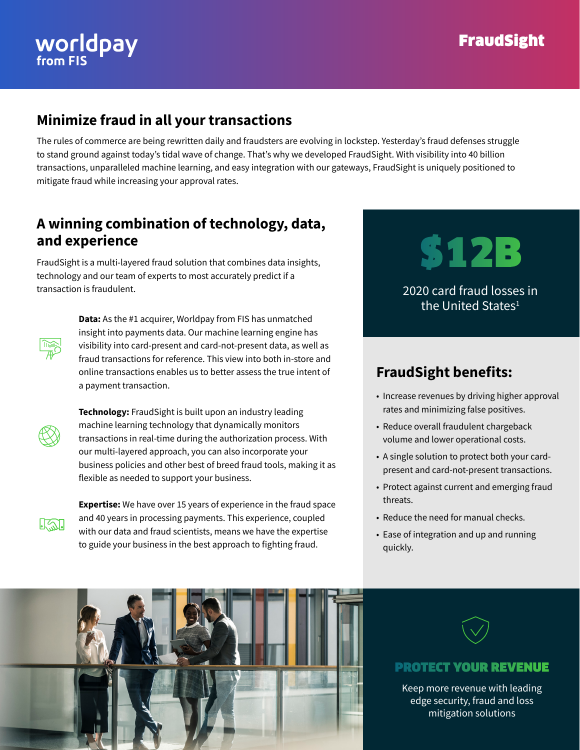# **WOrldpay**

### **FraudSight**

#### **Minimize fraud in all your transactions**

The rules of commerce are being rewritten daily and fraudsters are evolving in lockstep. Yesterday's fraud defenses struggle to stand ground against today's tidal wave of change. That's why we developed FraudSight. With visibility into 40 billion transactions, unparalleled machine learning, and easy integration with our gateways, FraudSight is uniquely positioned to mitigate fraud while increasing your approval rates.

#### **A winning combination of technology, data, and experience**

FraudSight is a multi-layered fraud solution that combines data insights, technology and our team of experts to most accurately predict if a transaction is fraudulent.



**Data:** As the #1 acquirer, Worldpay from FIS has unmatched insight into payments data. Our machine learning engine has visibility into card-present and card-not-present data, as well as fraud transactions for reference. This view into both in-store and online transactions enables us to better assess the true intent of a payment transaction.



 **Technology:** FraudSight is built upon an industry leading machine learning technology that dynamically monitors transactions in real-time during the authorization process. With our multi-layered approach, you can also incorporate your business policies and other best of breed fraud tools, making it as flexible as needed to support your business.



 **Expertise:** We have over 15 years of experience in the fraud space and 40 years in processing payments. This experience, coupled with our data and fraud scientists, means we have the expertise to guide your business in the best approach to fighting fraud.

## \$12B 2020 card fraud losses in

#### the United States<sup>1</sup>

#### **FraudSight benefits:**

- Increase revenues by driving higher approval rates and minimizing false positives.
- Reduce overall fraudulent chargeback volume and lower operational costs.
- A single solution to protect both your cardpresent and card-not-present transactions.
- Protect against current and emerging fraud threats.
- Reduce the need for manual checks.
- Ease of integration and up and running quickly.





#### PROTECT YOUR REVENUE

Keep more revenue with leading edge security, fraud and loss mitigation solutions